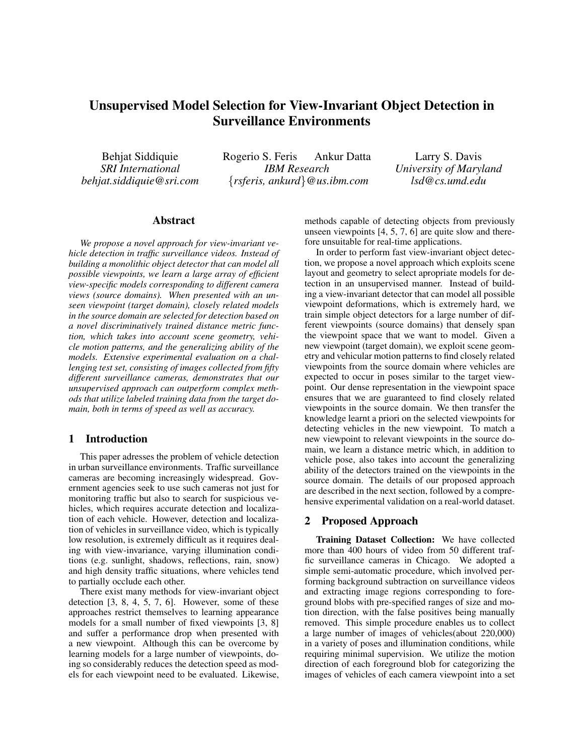# Unsupervised Model Selection for View-Invariant Object Detection in Surveillance Environments

Behjat Siddiquie *SRI International behjat.siddiquie@sri.com* Rogerio S. Feris Ankur Datta *IBM Research* {*rsferis, ankurd*}*@us.ibm.com*

Larry S. Davis *University of Maryland lsd@cs.umd.edu*

## Abstract

*We propose a novel approach for view-invariant vehicle detection in traffic surveillance videos. Instead of building a monolithic object detector that can model all possible viewpoints, we learn a large array of efficient view-specific models corresponding to different camera views (source domains). When presented with an unseen viewpoint (target domain), closely related models in the source domain are selected for detection based on a novel discriminatively trained distance metric function, which takes into account scene geometry, vehicle motion patterns, and the generalizing ability of the models. Extensive experimental evaluation on a challenging test set, consisting of images collected from fifty different surveillance cameras, demonstrates that our unsupervised approach can outperform complex methods that utilize labeled training data from the target domain, both in terms of speed as well as accuracy.*

#### 1 Introduction

This paper adresses the problem of vehicle detection in urban surveillance environments. Traffic surveillance cameras are becoming increasingly widespread. Government agencies seek to use such cameras not just for monitoring traffic but also to search for suspicious vehicles, which requires accurate detection and localization of each vehicle. However, detection and localization of vehicles in surveillance video, which is typically low resolution, is extremely difficult as it requires dealing with view-invariance, varying illumination conditions (e.g. sunlight, shadows, reflections, rain, snow) and high density traffic situations, where vehicles tend to partially occlude each other.

There exist many methods for view-invariant object detection  $[3, 8, 4, 5, 7, 6]$ . However, some of these approaches restrict themselves to learning appearance models for a small number of fixed viewpoints [3, 8] and suffer a performance drop when presented with a new viewpoint. Although this can be overcome by learning models for a large number of viewpoints, doing so considerably reduces the detection speed as models for each viewpoint need to be evaluated. Likewise,

methods capable of detecting objects from previously unseen viewpoints [4, 5, 7, 6] are quite slow and therefore unsuitable for real-time applications.

In order to perform fast view-invariant object detection, we propose a novel approach which exploits scene layout and geometry to select apropriate models for detection in an unsupervised manner. Instead of building a view-invariant detector that can model all possible viewpoint deformations, which is extremely hard, we train simple object detectors for a large number of different viewpoints (source domains) that densely span the viewpoint space that we want to model. Given a new viewpoint (target domain), we exploit scene geometry and vehicular motion patterns to find closely related viewpoints from the source domain where vehicles are expected to occur in poses similar to the target viewpoint. Our dense representation in the viewpoint space ensures that we are guaranteed to find closely related viewpoints in the source domain. We then transfer the knowledge learnt a priori on the selected viewpoints for detecting vehicles in the new viewpoint. To match a new viewpoint to relevant viewpoints in the source domain, we learn a distance metric which, in addition to vehicle pose, also takes into account the generalizing ability of the detectors trained on the viewpoints in the source domain. The details of our proposed approach are described in the next section, followed by a comprehensive experimental validation on a real-world dataset.

# 2 Proposed Approach

Training Dataset Collection: We have collected more than 400 hours of video from 50 different traffic surveillance cameras in Chicago. We adopted a simple semi-automatic procedure, which involved performing background subtraction on surveillance videos and extracting image regions corresponding to foreground blobs with pre-specified ranges of size and motion direction, with the false positives being manually removed. This simple procedure enables us to collect a large number of images of vehicles(about 220,000) in a variety of poses and illumination conditions, while requiring minimal supervision. We utilize the motion direction of each foreground blob for categorizing the images of vehicles of each camera viewpoint into a set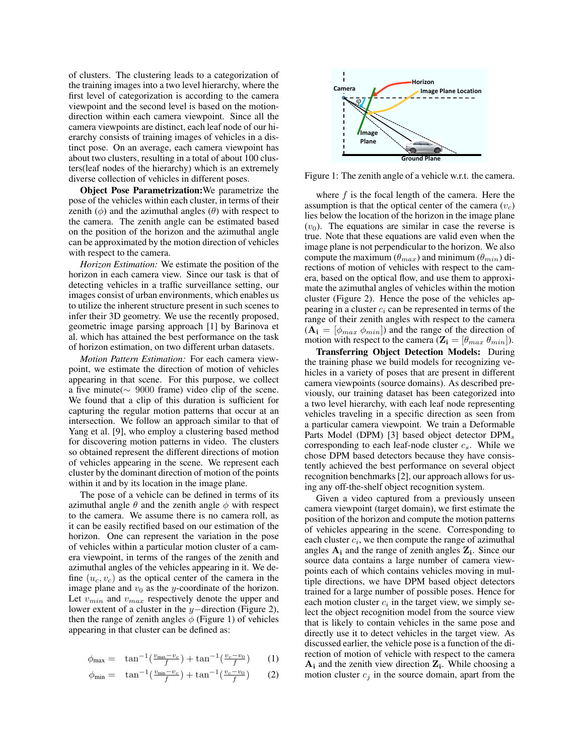of clusters. The clustering leads to a categorization of the training images into a two level hierarchy, where the first level of categorization is according to the camera viewpoint and the second level is based on the motiondirection within each camera viewpoint. Since all the camera viewpoints are distinct, each leaf node of our hierarchy consists of training images of vehicles in a distinct pose. On an average, each camera viewpoint has about two clusters, resulting in a total of about 100 clusters(leaf nodes of the hierarchy) which is an extremely diverse collection of vehicles in different poses.

Object Pose Parametrization:We parametrize the pose of the vehicles within each cluster, in terms of their zenith ( $\phi$ ) and the azimuthal angles ( $\theta$ ) with respect to the camera. The zenith angle can be estimated based on the position of the horizon and the azimuthal angle can be approximated by the motion direction of vehicles with respect to the camera.

*Horizon Estimation:* We estimate the position of the horizon in each camera view. Since our task is that of detecting vehicles in a traffic surveillance setting, our images consist of urban environments, which enables us to utilize the inherent structure present in such scenes to infer their 3D geometry. We use the recently proposed, geometric image parsing approach [1] by Barinova et al. which has attained the best performance on the task of horizon estimation, on two different urban datasets.

*Motion Pattern Estimation:* For each camera viewpoint, we estimate the direction of motion of vehicles appearing in that scene. For this purpose, we collect a five minute(∼ 9000 frame) video clip of the scene. We found that a clip of this duration is sufficient for capturing the regular motion patterns that occur at an intersection. We follow an approach similar to that of Yang et al. [9], who employ a clustering based method for discovering motion patterns in video. The clusters so obtained represent the different directions of motion of vehicles appearing in the scene. We represent each cluster by the dominant direction of motion of the points within it and by its location in the image plane.

The pose of a vehicle can be defined in terms of its azimuthal angle  $\theta$  and the zenith angle  $\phi$  with respect to the camera. We assume there is no camera roll, as it can be easily rectified based on our estimation of the horizon. One can represent the variation in the pose of vehicles within a particular motion cluster of a camera viewpoint, in terms of the ranges of the zenith and azimuthal angles of the vehicles appearing in it. We define  $(u_c, v_c)$  as the optical center of the camera in the image plane and  $v_0$  as the y-coordinate of the horizon. Let  $v_{min}$  and  $v_{max}$  respectively denote the upper and lower extent of a cluster in the y−direction (Figure 2), then the range of zenith angles  $\phi$  (Figure 1) of vehicles appearing in that cluster can be defined as:

$$
\phi_{\text{max}} = \tan^{-1}\left(\frac{v_{\text{max}} - v_c}{f}\right) + \tan^{-1}\left(\frac{v_c - v_0}{f}\right) \tag{1}
$$

$$
\phi_{\min} = \tan^{-1}\left(\frac{v_{\min} - v_c}{f}\right) + \tan^{-1}\left(\frac{v_c - v_0}{f}\right) \tag{2}
$$



Figure 1: The zenith angle of a vehicle w.r.t. the camera.

where  $f$  is the focal length of the camera. Here the assumption is that the optical center of the camera  $(v<sub>c</sub>)$ lies below the location of the horizon in the image plane  $(v_0)$ . The equations are similar in case the reverse is true. Note that these equations are valid even when the image plane is not perpendicular to the horizon. We also compute the maximum ( $\theta_{max}$ ) and minimum ( $\theta_{min}$ ) directions of motion of vehicles with respect to the camera, based on the optical flow, and use them to approximate the azimuthal angles of vehicles within the motion cluster (Figure 2). Hence the pose of the vehicles appearing in a cluster  $c_i$  can be represented in terms of the range of their zenith angles with respect to the camera  $(A_i = [\phi_{max} \phi_{min}]$  and the range of the direction of motion with respect to the camera  $(\mathbf{Z_i} = [\theta_{max} \ \theta_{min}]).$ 

Transferring Object Detection Models: During the training phase we build models for recognizing vehicles in a variety of poses that are present in different camera viewpoints (source domains). As described previously, our training dataset has been categorized into a two level hierarchy, with each leaf node representing vehicles traveling in a specific direction as seen from a particular camera viewpoint. We train a Deformable Parts Model (DPM) [3] based object detector  $DPM_s$ corresponding to each leaf-node cluster  $c_s$ . While we chose DPM based detectors because they have consistently achieved the best performance on several object recognition benchmarks [2], our approach allows for using any off-the-shelf object recognition system.

Given a video captured from a previously unseen camera viewpoint (target domain), we first estimate the position of the horizon and compute the motion patterns of vehicles appearing in the scene. Corresponding to each cluster  $c_i$ , we then compute the range of azimuthal angles  $A_i$  and the range of zenith angles  $Z_i$ . Since our source data contains a large number of camera viewpoints each of which contains vehicles moving in multiple directions, we have DPM based object detectors trained for a large number of possible poses. Hence for each motion cluster  $c_i$  in the target view, we simply select the object recognition model from the source view that is likely to contain vehicles in the same pose and directly use it to detect vehicles in the target view. As discussed earlier, the vehicle pose is a function of the direction of motion of vehicle with respect to the camera  $A_i$  and the zenith view direction  $Z_i$ . While choosing a motion cluster  $c_j$  in the source domain, apart from the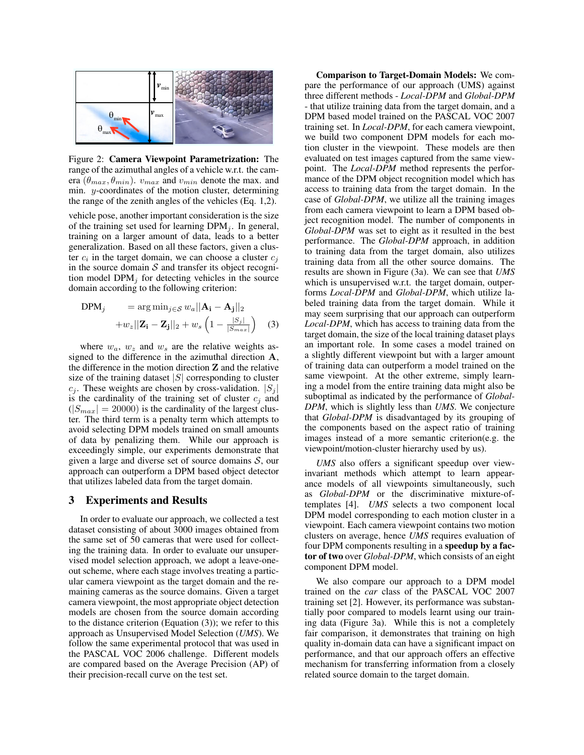

Figure 2: Camera Viewpoint Parametrization: The range of the azimuthal angles of a vehicle w.r.t. the camera ( $\theta_{max}, \theta_{min}$ ).  $v_{max}$  and  $v_{min}$  denote the max. and min. y-coordinates of the motion cluster, determining the range of the zenith angles of the vehicles (Eq. 1,2).

vehicle pose, another important consideration is the size of the training set used for learning  $DPM_i$ . In general, training on a larger amount of data, leads to a better generalization. Based on all these factors, given a cluster  $c_i$  in the target domain, we can choose a cluster  $c_j$ in the source domain  $S$  and transfer its object recognition model  $DPM_i$  for detecting vehicles in the source domain according to the following criterion:

$$
\text{DPM}_j = \arg \min_{j \in \mathcal{S}} w_a ||\mathbf{A_i} - \mathbf{A_j}||_2
$$

$$
+ w_z ||\mathbf{Z_i} - \mathbf{Z_j}||_2 + w_s \left(1 - \frac{|S_j|}{|S_{max}|}\right) \quad (3)
$$

where  $w_a$ ,  $w_z$  and  $w_s$  are the relative weights assigned to the difference in the azimuthal direction A, the difference in the motion direction Z and the relative size of the training dataset  $|S|$  corresponding to cluster  $c_j$ . These weights are chosen by cross-validation.  $|S_j|$ is the cardinality of the training set of cluster  $c_i$  and  $(|S_{max}| = 20000)$  is the cardinality of the largest cluster. The third term is a penalty term which attempts to avoid selecting DPM models trained on small amounts of data by penalizing them. While our approach is exceedingly simple, our experiments demonstrate that given a large and diverse set of source domains  $S$ , our approach can outperform a DPM based object detector that utilizes labeled data from the target domain.

#### 3 Experiments and Results

In order to evaluate our approach, we collected a test dataset consisting of about 3000 images obtained from the same set of 50 cameras that were used for collecting the training data. In order to evaluate our unsupervised model selection approach, we adopt a leave-oneout scheme, where each stage involves treating a particular camera viewpoint as the target domain and the remaining cameras as the source domains. Given a target camera viewpoint, the most appropriate object detection models are chosen from the source domain according to the distance criterion (Equation (3)); we refer to this approach as Unsupervised Model Selection (*UMS*). We follow the same experimental protocol that was used in the PASCAL VOC 2006 challenge. Different models are compared based on the Average Precision (AP) of their precision-recall curve on the test set.

Comparison to Target-Domain Models: We compare the performance of our approach (UMS) against three different methods - *Local-DPM* and *Global-DPM* - that utilize training data from the target domain, and a DPM based model trained on the PASCAL VOC 2007 training set. In *Local-DPM*, for each camera viewpoint, we build two component DPM models for each motion cluster in the viewpoint. These models are then evaluated on test images captured from the same viewpoint. The *Local-DPM* method represents the performance of the DPM object recognition model which has access to training data from the target domain. In the case of *Global-DPM*, we utilize all the training images from each camera viewpoint to learn a DPM based object recognition model. The number of components in *Global-DPM* was set to eight as it resulted in the best performance. The *Global-DPM* approach, in addition to training data from the target domain, also utilizes training data from all the other source domains. The results are shown in Figure (3a). We can see that *UMS* which is unsupervised w.r.t. the target domain, outperforms *Local-DPM* and *Global-DPM*, which utilize labeled training data from the target domain. While it may seem surprising that our approach can outperform *Local-DPM*, which has access to training data from the target domain, the size of the local training dataset plays an important role. In some cases a model trained on a slightly different viewpoint but with a larger amount of training data can outperform a model trained on the same viewpoint. At the other extreme, simply learning a model from the entire training data might also be suboptimal as indicated by the performance of *Global-DPM*, which is slightly less than *UMS*. We conjecture that *Global-DPM* is disadvantaged by its grouping of the components based on the aspect ratio of training images instead of a more semantic criterion(e.g. the viewpoint/motion-cluster hierarchy used by us).

*UMS* also offers a significant speedup over viewinvariant methods which attempt to learn appearance models of all viewpoints simultaneously, such as *Global-DPM* or the discriminative mixture-oftemplates [4]. *UMS* selects a two component local DPM model corresponding to each motion cluster in a viewpoint. Each camera viewpoint contains two motion clusters on average, hence *UMS* requires evaluation of four DPM components resulting in a speedup by a factor of two over *Global-DPM*, which consists of an eight component DPM model.

We also compare our approach to a DPM model trained on the *car* class of the PASCAL VOC 2007 training set [2]. However, its performance was substantially poor compared to models learnt using our training data (Figure 3a). While this is not a completely fair comparison, it demonstrates that training on high quality in-domain data can have a significant impact on performance, and that our approach offers an effective mechanism for transferring information from a closely related source domain to the target domain.